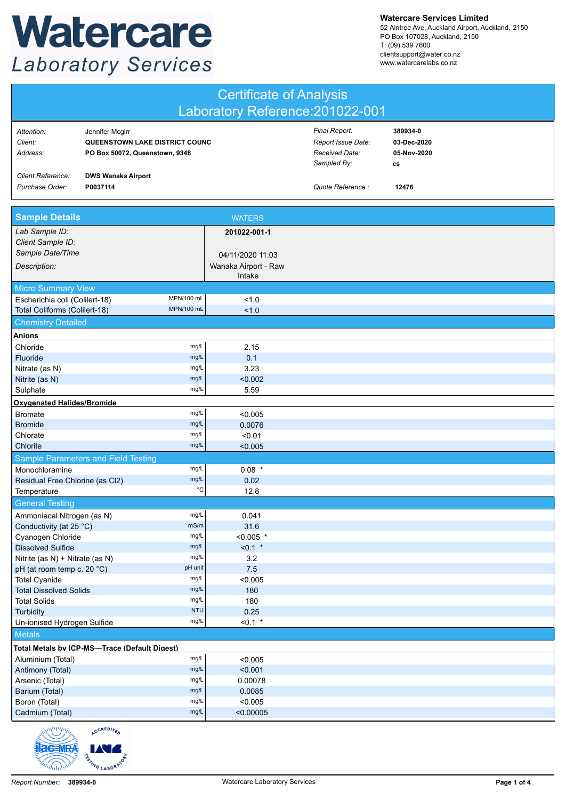## Watercare **Laboratory Services**

**Watercare Services Limited**

52 Aintree Ave, Auckland Airport, Auckland, 2150 PO Box 107028, Auckland, 2150 T: (09) 539 7600 clientsupport@water.co.nz www.watercarelabs.co.nz

| <b>Certificate of Analysis</b>                                |                                                                                     |                      |                                                                      |                                                     |  |  |
|---------------------------------------------------------------|-------------------------------------------------------------------------------------|----------------------|----------------------------------------------------------------------|-----------------------------------------------------|--|--|
| Laboratory Reference: 201022-001                              |                                                                                     |                      |                                                                      |                                                     |  |  |
| Attention:<br>Client:<br>Address:                             | Jennifer Mcgirr<br>QUEENSTOWN LAKE DISTRICT COUNC<br>PO Box 50072, Queenstown, 9348 |                      | Final Report:<br>Report Issue Date:<br>Received Date:<br>Sampled By: | 389934-0<br>03-Dec-2020<br>05-Nov-2020<br><b>CS</b> |  |  |
| <b>Client Reference:</b><br>Purchase Order:                   | <b>DWS Wanaka Airport</b><br>P0037114                                               |                      | Quote Reference :                                                    | 12476                                               |  |  |
| <b>Sample Details</b>                                         |                                                                                     | <b>WATERS</b>        |                                                                      |                                                     |  |  |
| Lab Sample ID:                                                |                                                                                     | 201022-001-1         |                                                                      |                                                     |  |  |
| Client Sample ID:<br>Sample Date/Time                         |                                                                                     | 04/11/2020 11:03     |                                                                      |                                                     |  |  |
| Description:                                                  |                                                                                     | Wanaka Airport - Raw |                                                                      |                                                     |  |  |
|                                                               |                                                                                     | Intake               |                                                                      |                                                     |  |  |
| <b>Micro Summary View</b>                                     |                                                                                     |                      |                                                                      |                                                     |  |  |
| Escherichia coli (Colilert-18)                                | MPN/100 mL<br>MPN/100 mL                                                            | 1.0                  |                                                                      |                                                     |  |  |
| Total Coliforms (Colilert-18)                                 |                                                                                     | 1.0                  |                                                                      |                                                     |  |  |
| <b>Chemistry Detailed</b>                                     |                                                                                     |                      |                                                                      |                                                     |  |  |
| Anions<br>Chloride                                            | mg/L                                                                                | 2.15                 |                                                                      |                                                     |  |  |
| Fluoride                                                      | mg/L                                                                                | 0.1                  |                                                                      |                                                     |  |  |
| Nitrate (as N)                                                | mg/L                                                                                | 3.23                 |                                                                      |                                                     |  |  |
| Nitrite (as N)                                                | mg/L                                                                                | < 0.002              |                                                                      |                                                     |  |  |
| Sulphate                                                      | mg/L                                                                                | 5.59                 |                                                                      |                                                     |  |  |
| <b>Oxygenated Halides/Bromide</b>                             |                                                                                     |                      |                                                                      |                                                     |  |  |
| <b>Bromate</b>                                                | mg/L                                                                                | < 0.005              |                                                                      |                                                     |  |  |
| <b>Bromide</b>                                                | mg/L                                                                                | 0.0076               |                                                                      |                                                     |  |  |
| Chlorate<br>Chlorite                                          | mg/L<br>mg/L                                                                        | < 0.01               |                                                                      |                                                     |  |  |
|                                                               |                                                                                     | < 0.005              |                                                                      |                                                     |  |  |
| Monochloramine                                                | Sample Parameters and Field Testing<br>mg/L                                         | $0.08$ *             |                                                                      |                                                     |  |  |
| Residual Free Chlorine (as Cl2)                               | mg/L                                                                                | 0.02                 |                                                                      |                                                     |  |  |
| Temperature                                                   | $^{\circ}C$                                                                         | 12.8                 |                                                                      |                                                     |  |  |
| <b>General Testing</b>                                        |                                                                                     |                      |                                                                      |                                                     |  |  |
| Ammoniacal Nitrogen (as N)                                    | mg/L                                                                                | 0.041                |                                                                      |                                                     |  |  |
| Conductivity (at 25 °C)                                       | mS/m                                                                                | 31.6                 |                                                                      |                                                     |  |  |
| Cyanogen Chloride                                             | mg/L                                                                                | $< 0.005$ *          |                                                                      |                                                     |  |  |
| <b>Dissolved Sulfide</b>                                      | mg/L<br>mg/L                                                                        | $< 0.1$ *            |                                                                      |                                                     |  |  |
| Nitrite (as N) + Nitrate (as N)<br>pH (at room temp c. 20 °C) | pH unit                                                                             | 3.2<br>7.5           |                                                                      |                                                     |  |  |
| <b>Total Cyanide</b>                                          | mg/L                                                                                | < 0.005              |                                                                      |                                                     |  |  |
| <b>Total Dissolved Solids</b>                                 | mg/L                                                                                | 180                  |                                                                      |                                                     |  |  |
| <b>Total Solids</b>                                           | mg/L                                                                                | 180                  |                                                                      |                                                     |  |  |
| Turbidity                                                     | <b>NTU</b>                                                                          | 0.25                 |                                                                      |                                                     |  |  |
| Un-ionised Hydrogen Sulfide                                   | mg/L                                                                                | $< 0.1$ *            |                                                                      |                                                     |  |  |
| <b>Metals</b>                                                 |                                                                                     |                      |                                                                      |                                                     |  |  |
|                                                               | <b>Total Metals by ICP-MS-Trace (Default Digest)</b>                                |                      |                                                                      |                                                     |  |  |
| Aluminium (Total)<br>Antimony (Total)                         | mg/L<br>mg/L                                                                        | < 0.005<br>< 0.001   |                                                                      |                                                     |  |  |
| Arsenic (Total)                                               | mg/L                                                                                | 0.00078              |                                                                      |                                                     |  |  |
| Barium (Total)                                                | mg/L                                                                                | 0.0085               |                                                                      |                                                     |  |  |
| Boron (Total)                                                 | mg/L                                                                                | < 0.005              |                                                                      |                                                     |  |  |
| Cadmium (Total)                                               | mg/L                                                                                | < 0.00005            |                                                                      |                                                     |  |  |
| <b>Allen Controller</b>                                       | <b>ACCREDITED</b>                                                                   |                      |                                                                      |                                                     |  |  |

RSTING LABORATO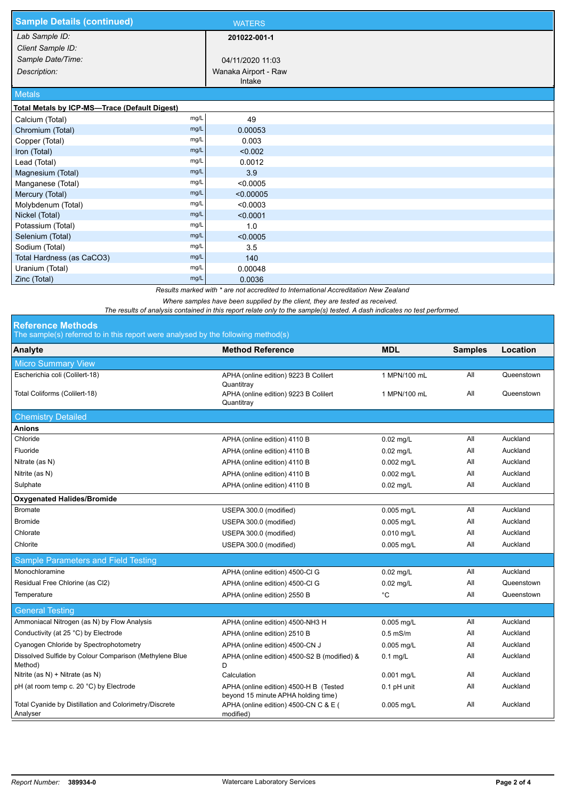| <b>Sample Details (continued)</b>             |      | <b>WATERS</b>        |  |
|-----------------------------------------------|------|----------------------|--|
| Lab Sample ID:                                |      | 201022-001-1         |  |
| Client Sample ID:                             |      |                      |  |
| Sample Date/Time:                             |      | 04/11/2020 11:03     |  |
| Description:                                  |      | Wanaka Airport - Raw |  |
|                                               |      | Intake               |  |
| <b>Metals</b>                                 |      |                      |  |
| Total Metals by ICP-MS-Trace (Default Digest) |      |                      |  |
| Calcium (Total)                               | mg/L | 49                   |  |
| Chromium (Total)                              | mg/L | 0.00053              |  |
| Copper (Total)                                | mg/L | 0.003                |  |
| Iron (Total)                                  | mg/L | < 0.002              |  |
| Lead (Total)                                  | mg/L | 0.0012               |  |
| Magnesium (Total)                             | mg/L | 3.9                  |  |
| Manganese (Total)                             | mg/L | < 0.0005             |  |
| Mercury (Total)                               | mg/L | < 0.00005            |  |
| Molybdenum (Total)                            | mg/L | < 0.0003             |  |
| Nickel (Total)                                | mg/L | < 0.0001             |  |
| Potassium (Total)                             | mg/L | 1.0                  |  |
| Selenium (Total)                              | mg/L | < 0.0005             |  |
| Sodium (Total)                                | mg/L | 3.5                  |  |
| Total Hardness (as CaCO3)                     | mg/L | 140                  |  |
| Uranium (Total)                               | mg/L | 0.00048              |  |
| Zinc (Total)                                  | mg/L | 0.0036               |  |

*Results marked with \* are not accredited to International Accreditation New Zealand*

*Where samples have been supplied by the client, they are tested as received.* 

*The results of analysis contained in this report relate only to the sample(s) tested. A dash indicates no test performed.*

## **Reference Methods**

The sample(s) referred to in this report were analysed by the following method(s)

| The campiologic cremea to in this report were analysed by the renowing method of |                                                                               |              |                |            |  |  |  |  |
|----------------------------------------------------------------------------------|-------------------------------------------------------------------------------|--------------|----------------|------------|--|--|--|--|
| Analyte                                                                          | <b>Method Reference</b>                                                       | <b>MDL</b>   | <b>Samples</b> | Location   |  |  |  |  |
| <b>Micro Summary View</b>                                                        |                                                                               |              |                |            |  |  |  |  |
| Escherichia coli (Colilert-18)                                                   | APHA (online edition) 9223 B Colilert<br>Quantitray                           | 1 MPN/100 mL | All            | Queenstown |  |  |  |  |
| Total Coliforms (Colilert-18)                                                    | APHA (online edition) 9223 B Colilert<br>Quantitray                           | 1 MPN/100 mL | All            | Queenstown |  |  |  |  |
| <b>Chemistry Detailed</b>                                                        |                                                                               |              |                |            |  |  |  |  |
| <b>Anions</b>                                                                    |                                                                               |              |                |            |  |  |  |  |
| Chloride                                                                         | APHA (online edition) 4110 B                                                  | $0.02$ mg/L  | All            | Auckland   |  |  |  |  |
| Fluoride                                                                         | APHA (online edition) 4110 B                                                  | $0.02$ mg/L  | All            | Auckland   |  |  |  |  |
| Nitrate (as N)                                                                   | APHA (online edition) 4110 B                                                  | $0.002$ mg/L | All            | Auckland   |  |  |  |  |
| Nitrite (as N)                                                                   | APHA (online edition) 4110 B                                                  | $0.002$ mg/L | All            | Auckland   |  |  |  |  |
| Sulphate                                                                         | APHA (online edition) 4110 B                                                  | $0.02$ mg/L  | All            | Auckland   |  |  |  |  |
| <b>Oxygenated Halides/Bromide</b>                                                |                                                                               |              |                |            |  |  |  |  |
| <b>Bromate</b>                                                                   | USEPA 300.0 (modified)                                                        | 0.005 mg/L   | All            | Auckland   |  |  |  |  |
| <b>Bromide</b>                                                                   | USEPA 300.0 (modified)                                                        | 0.005 mg/L   | All            | Auckland   |  |  |  |  |
| Chlorate                                                                         | USEPA 300.0 (modified)                                                        | 0.010 mg/L   | All            | Auckland   |  |  |  |  |
| Chlorite                                                                         | USEPA 300.0 (modified)                                                        | 0.005 mg/L   | All            | Auckland   |  |  |  |  |
| Sample Parameters and Field Testing                                              |                                                                               |              |                |            |  |  |  |  |
| Monochloramine                                                                   | APHA (online edition) 4500-Cl G                                               | $0.02$ mg/L  | All            | Auckland   |  |  |  |  |
| Residual Free Chlorine (as Cl2)                                                  | APHA (online edition) 4500-Cl G                                               | $0.02$ mg/L  | All            | Queenstown |  |  |  |  |
| Temperature                                                                      | APHA (online edition) 2550 B                                                  | °C           | All            | Queenstown |  |  |  |  |
| <b>General Testing</b>                                                           |                                                                               |              |                |            |  |  |  |  |
| Ammoniacal Nitrogen (as N) by Flow Analysis                                      | APHA (online edition) 4500-NH3 H                                              | $0.005$ mg/L | All            | Auckland   |  |  |  |  |
| Conductivity (at 25 °C) by Electrode                                             | APHA (online edition) 2510 B                                                  | $0.5$ mS/m   | All            | Auckland   |  |  |  |  |
| Cyanogen Chloride by Spectrophotometry                                           | APHA (online edition) 4500-CN J                                               | 0.005 mg/L   | All            | Auckland   |  |  |  |  |
| Dissolved Sulfide by Colour Comparison (Methylene Blue<br>Method)                | APHA (online edition) 4500-S2 B (modified) &<br>D                             | $0.1$ mg/L   | All            | Auckland   |  |  |  |  |
| Nitrite (as N) + Nitrate (as N)                                                  | Calculation                                                                   | 0.001 mg/L   | All            | Auckland   |  |  |  |  |
| pH (at room temp c. 20 °C) by Electrode                                          | APHA (online edition) 4500-H B (Tested<br>beyond 15 minute APHA holding time) | 0.1 pH unit  | All            | Auckland   |  |  |  |  |
| Total Cyanide by Distillation and Colorimetry/Discrete<br>Analyser               | APHA (online edition) 4500-CN C & E (<br>modified)                            | $0.005$ mg/L | All            | Auckland   |  |  |  |  |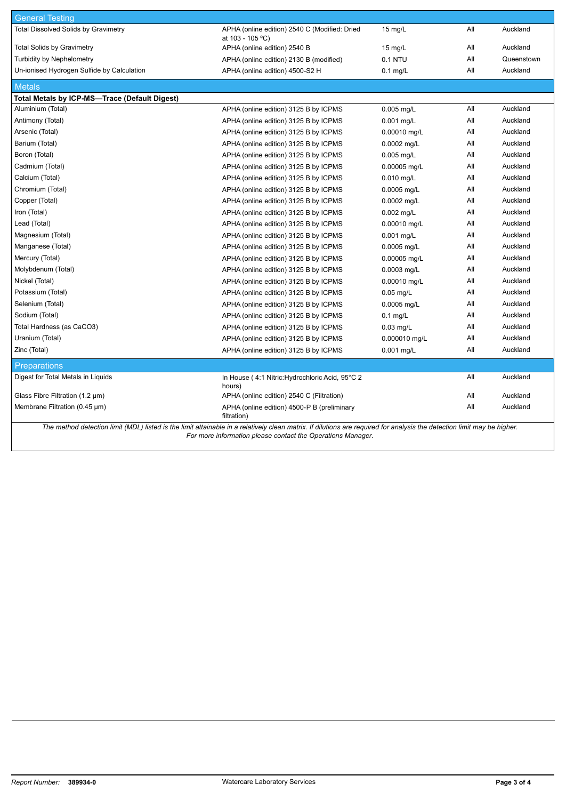| <b>General Testing</b>                                                                                                                                                  |                                                                   |                   |     |            |
|-------------------------------------------------------------------------------------------------------------------------------------------------------------------------|-------------------------------------------------------------------|-------------------|-----|------------|
| <b>Total Dissolved Solids by Gravimetry</b>                                                                                                                             | APHA (online edition) 2540 C (Modified: Dried<br>at 103 - 105 °C) | $15 \text{ mg/L}$ | All | Auckland   |
| <b>Total Solids by Gravimetry</b>                                                                                                                                       | APHA (online edition) 2540 B                                      | $15 \text{ mg/L}$ | All | Auckland   |
| <b>Turbidity by Nephelometry</b>                                                                                                                                        | APHA (online edition) 2130 B (modified)                           | 0.1 NTU           | All | Queenstown |
| Un-ionised Hydrogen Sulfide by Calculation                                                                                                                              | APHA (online edition) 4500-S2 H                                   | $0.1$ mg/L        | All | Auckland   |
| <b>Metals</b>                                                                                                                                                           |                                                                   |                   |     |            |
| Total Metals by ICP-MS-Trace (Default Digest)                                                                                                                           |                                                                   |                   |     |            |
| Aluminium (Total)                                                                                                                                                       | APHA (online edition) 3125 B by ICPMS                             | 0.005 mg/L        | All | Auckland   |
| Antimony (Total)                                                                                                                                                        | APHA (online edition) 3125 B by ICPMS                             | $0.001$ mg/L      | All | Auckland   |
| Arsenic (Total)                                                                                                                                                         | APHA (online edition) 3125 B by ICPMS                             | 0.00010 mg/L      | All | Auckland   |
| Barium (Total)                                                                                                                                                          | APHA (online edition) 3125 B by ICPMS                             | 0.0002 mg/L       | All | Auckland   |
| Boron (Total)                                                                                                                                                           | APHA (online edition) 3125 B by ICPMS                             | 0.005 mg/L        | All | Auckland   |
| Cadmium (Total)                                                                                                                                                         | APHA (online edition) 3125 B by ICPMS                             | 0.00005 mg/L      | All | Auckland   |
| Calcium (Total)                                                                                                                                                         | APHA (online edition) 3125 B by ICPMS                             | $0.010$ mg/L      | All | Auckland   |
| Chromium (Total)                                                                                                                                                        | APHA (online edition) 3125 B by ICPMS                             | 0.0005 mg/L       | All | Auckland   |
| Copper (Total)                                                                                                                                                          | APHA (online edition) 3125 B by ICPMS                             | 0.0002 mg/L       | All | Auckland   |
| Iron (Total)                                                                                                                                                            | APHA (online edition) 3125 B by ICPMS                             | $0.002$ mg/L      | All | Auckland   |
| Lead (Total)                                                                                                                                                            | APHA (online edition) 3125 B by ICPMS                             | 0.00010 mg/L      | All | Auckland   |
| Magnesium (Total)                                                                                                                                                       | APHA (online edition) 3125 B by ICPMS                             | $0.001$ mg/L      | All | Auckland   |
| Manganese (Total)                                                                                                                                                       | APHA (online edition) 3125 B by ICPMS                             | 0.0005 mg/L       | All | Auckland   |
| Mercury (Total)                                                                                                                                                         | APHA (online edition) 3125 B by ICPMS                             | 0.00005 mg/L      | All | Auckland   |
| Molybdenum (Total)                                                                                                                                                      | APHA (online edition) 3125 B by ICPMS                             | 0.0003 mg/L       | All | Auckland   |
| Nickel (Total)                                                                                                                                                          | APHA (online edition) 3125 B by ICPMS                             | 0.00010 mg/L      | All | Auckland   |
| Potassium (Total)                                                                                                                                                       | APHA (online edition) 3125 B by ICPMS                             | $0.05$ mg/L       | All | Auckland   |
| Selenium (Total)                                                                                                                                                        | APHA (online edition) 3125 B by ICPMS                             | 0.0005 mg/L       | All | Auckland   |
| Sodium (Total)                                                                                                                                                          | APHA (online edition) 3125 B by ICPMS                             | $0.1$ mg/L        | All | Auckland   |
| Total Hardness (as CaCO3)                                                                                                                                               | APHA (online edition) 3125 B by ICPMS                             | $0.03$ mg/L       | All | Auckland   |
| Uranium (Total)                                                                                                                                                         | APHA (online edition) 3125 B by ICPMS                             | 0.000010 mg/L     | All | Auckland   |
| Zinc (Total)                                                                                                                                                            | APHA (online edition) 3125 B by ICPMS                             | 0.001 mg/L        | All | Auckland   |
| <b>Preparations</b>                                                                                                                                                     |                                                                   |                   |     |            |
| Digest for Total Metals in Liquids                                                                                                                                      | In House (4:1 Nitric: Hydrochloric Acid, 95°C 2<br>hours)         |                   | All | Auckland   |
| Glass Fibre Filtration $(1.2 \mu m)$                                                                                                                                    | APHA (online edition) 2540 C (Filtration)                         |                   | All | Auckland   |
| Membrane Filtration (0.45 µm)                                                                                                                                           | APHA (online edition) 4500-P B (preliminary<br>filtration)        |                   | All | Auckland   |
| The method detection limit (MDL) listed is the limit attainable in a relatively clean matrix. If dilutions are required for analysis the detection limit may be higher. |                                                                   |                   |     |            |

*For more information please contact the Operations Manager.*